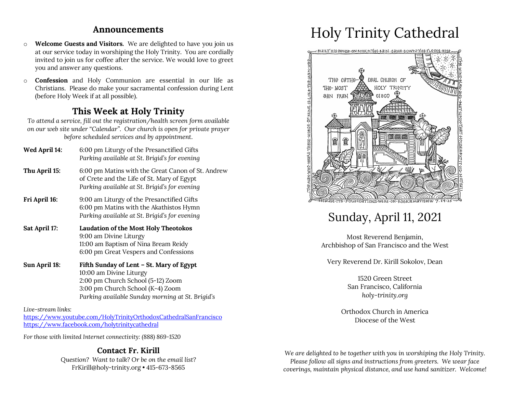### **Announcements**

- o **Welcome Guests and Visitors.** We are delighted to have you join us at our service today in worshiping the Holy Trinity. You are cordially invited to join us for coffee after the service. We would love to greet you and answer any questions.
- o **Confession** and Holy Communion are essential in our life as Christians. Please do make your sacramental confession during Lent (before Holy Week if at all possible).

## **This Week at Holy Trinity**

*To attend a service, fill out the registration/health screen form available on our web site under "Calendar". Our church is open for private prayer before scheduled services and by appointment.*

| Wed April 14: | 6:00 pm Liturgy of the Presanctified Gifts<br>Parking available at St. Brigid's for evening                                                                                                      |
|---------------|--------------------------------------------------------------------------------------------------------------------------------------------------------------------------------------------------|
| Thu April 15: | 6:00 pm Matins with the Great Canon of St. Andrew<br>of Crete and the Life of St. Mary of Egypt<br>Parking available at St. Brigid's for evening                                                 |
| Fri April 16: | 9:00 am Liturgy of the Presanctified Gifts<br>6:00 pm Matins with the Akathistos Hymn<br>Parking available at St. Brigid's for evening                                                           |
| Sat April 17: | <b>Laudation of the Most Holy Theotokos</b><br>9:00 am Divine Liturgy<br>11:00 am Baptism of Nina Bream Reidy<br>6:00 pm Great Vespers and Confessions                                           |
| Sun April 18: | Fifth Sunday of Lent - St. Mary of Egypt<br>10:00 am Divine Liturgy<br>2:00 pm Church School (5-12) Zoom<br>3:00 pm Church School (K-4) Zoom<br>Parking available Sunday morning at St. Brigid's |

*Live-stream links:* https://www.youtube.com/HolyTrinityOrthodoxCathedralSanFrancisco https://www.facebook.com/holytrinitycathedral

*For those with limited Internet connectivity: (888) 869-1520*

### **Contact Fr. Kirill**

*Question? Want to talk? Or be on the email list?* FrKirill@holy-trinity.org • 415-673-8565

# Holy Trinity Cathedral



# Sunday, April 11, 2021

Most Reverend Benjamin, Archbishop of San Francisco and the West

Very Reverend Dr. Kirill Sokolov, Dean

1520 Green Street San Francisco, California *holy-trinity.org*

Orthodox Church in America Diocese of the West

*We are delighted to be together with you in worshiping the Holy Trinity. Please follow all signs and instructions from greeters. We wear face coverings, maintain physical distance, and use hand sanitizer. Welcome!*